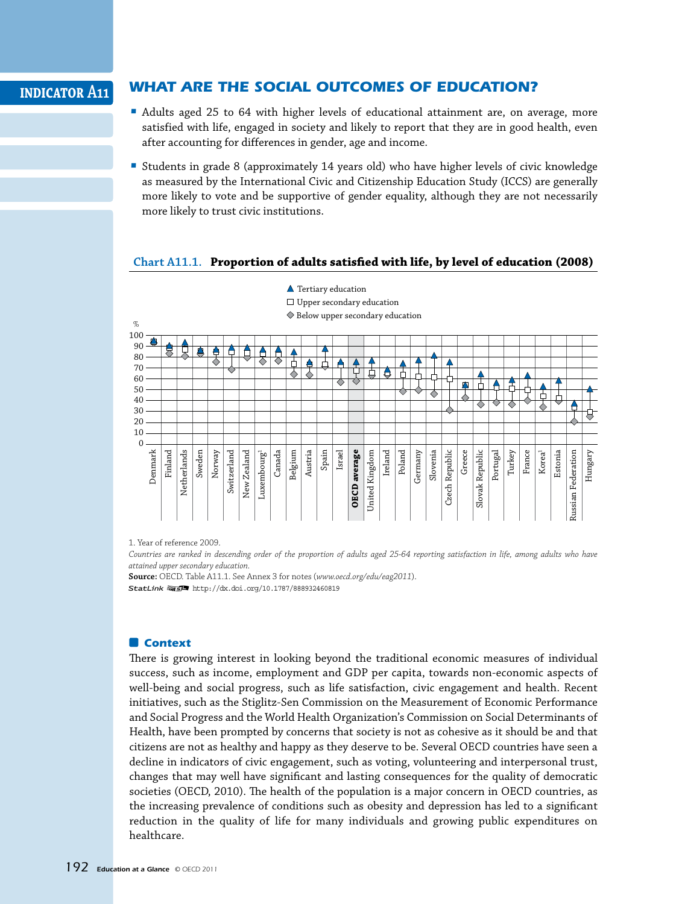# **Indicator A11**

## *What Are the Social Outcomes of Education?*

- Adults aged 25 to 64 with higher levels of educational attainment are, on average, more satisfied with life, engaged in society and likely to report that they are in good health, even after accounting for differences in gender, age and income.
- • Students in grade 8 (approximately 14 years old) who have higher levels of civic knowledge as measured by the International Civic and Citizenship Education Study (ICCS) are generally more likely to vote and be supportive of gender equality, although they are not necessarily more likely to trust civic institutions.

### **Chart A11.1. Proportion of adults satised with life, by level of education (2008)**



1. Year of reference 2009.

*Countries are ranked in descending order of the proportion of adults aged 25-64 reporting satisfaction in life, among adults who have attained upper secondary education.*

**Source:** OECD. Table A11.1. See Annex 3 for notes (*www.oecd.org/edu/eag2011*). **StatLink #15 http://dx.doi.org/10.1787/888932460819** 

### *Context*

There is growing interest in looking beyond the traditional economic measures of individual success, such as income, employment and GDP per capita, towards non-economic aspects of well-being and social progress, such as life satisfaction, civic engagement and health. Recent initiatives, such as the Stiglitz-Sen Commission on the Measurement of Economic Performance and Social Progress and the World Health Organization's Commission on Social Determinants of Health, have been prompted by concerns that society is not as cohesive as it should be and that citizens are not as healthy and happy as they deserve to be. Several OECD countries have seen a decline in indicators of civic engagement, such as voting, volunteering and interpersonal trust, changes that may well have significant and lasting consequences for the quality of democratic societies (OECD, 2010). The health of the population is a major concern in OECD countries, as the increasing prevalence of conditions such as obesity and depression has led to a significant reduction in the quality of life for many individuals and growing public expenditures on healthcare.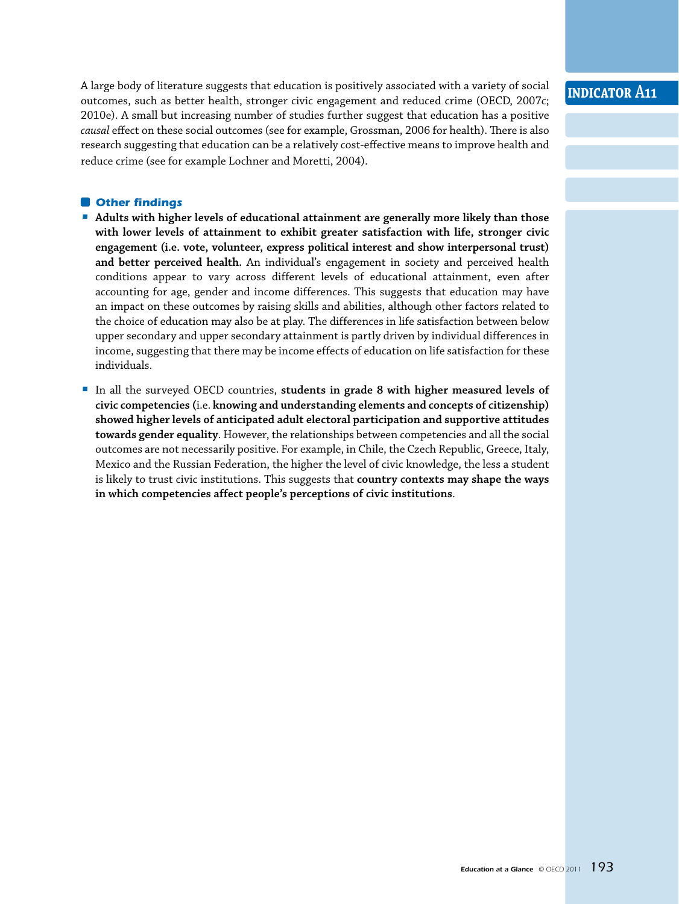A large body of literature suggests that education is positively associated with a variety of social outcomes, such as better health, stronger civic engagement and reduced crime (OECD, 2007c; 2010e). A small but increasing number of studies further suggest that education has a positive *causal* effect on these social outcomes (see for example, Grossman, 2006 for health). There is also research suggesting that education can be a relatively cost-effective means to improve health and reduce crime (see for example Lochner and Moretti, 2004).

### *Other findings*

- • **Adults with higher levels of educational attainment are generally more likely than those with lower levels of attainment to exhibit greater satisfaction with life, stronger civic engagement (i.e. vote, volunteer, express political interest and show interpersonal trust) and better perceived health.** An individual's engagement in society and perceived health conditions appear to vary across different levels of educational attainment, even after accounting for age, gender and income differences. This suggests that education may have an impact on these outcomes by raising skills and abilities, although other factors related to the choice of education may also be at play. The differences in life satisfaction between below upper secondary and upper secondary attainment is partly driven by individual differences in income, suggesting that there may be income effects of education on life satisfaction for these individuals.
- • In all the surveyed OECD countries, **students in grade 8 with higher measured levels of civic competencies (**i.e. **knowing and understanding elements and concepts of citizenship) showed higher levels of anticipated adult electoral participation and supportive attitudes towards gender equality**. However, the relationships between competencies and all the social outcomes are not necessarily positive. For example, in Chile, the Czech Republic, Greece, Italy, Mexico and the Russian Federation, the higher the level of civic knowledge, the less a student is likely to trust civic institutions. This suggests that **country contexts may shape the ways in which competencies affect people's perceptions of civic institutions**.

## **Indicator A11**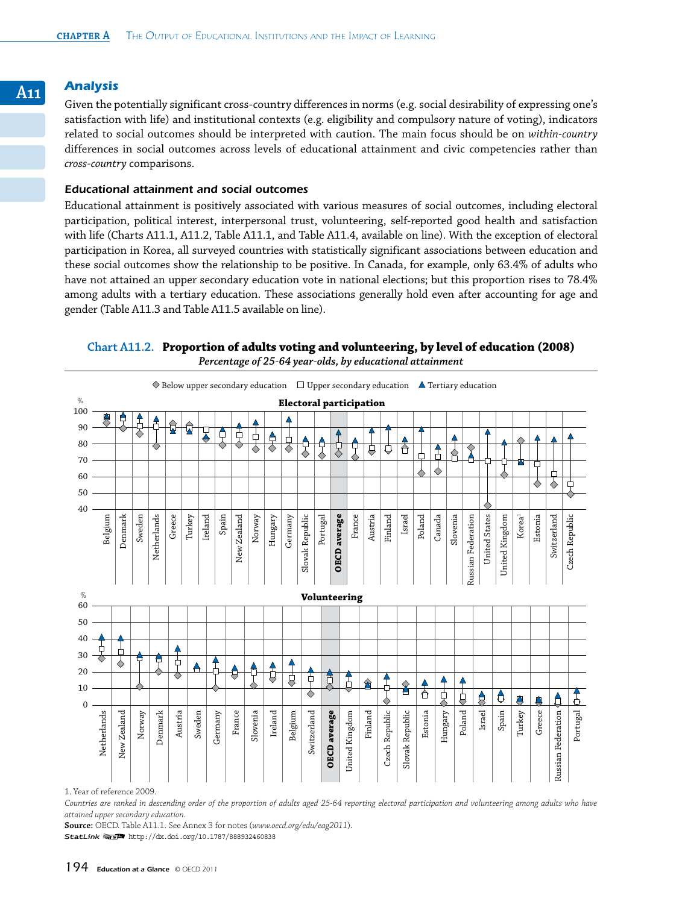### *Analysis*

Given the potentially significant cross-country differences in norms (e.g. social desirability of expressing one's satisfaction with life) and institutional contexts (e.g. eligibility and compulsory nature of voting), indicators related to social outcomes should be interpreted with caution. The main focus should be on *within-country* differences in social outcomes across levels of educational attainment and civic competencies rather than *cross-country* comparisons.

#### *Educational attainment and social outcomes*

Educational attainment is positively associated with various measures of social outcomes, including electoral participation, political interest, interpersonal trust, volunteering, self-reported good health and satisfaction with life (Charts A11.1, A11.2, Table A11.1, and Table A11.4, available on line). With the exception of electoral participation in Korea, all surveyed countries with statistically significant associations between education and these social outcomes show the relationship to be positive. In Canada, for example, only 63.4% of adults who have not attained an upper secondary education vote in national elections; but this proportion rises to 78.4% among adults with a tertiary education. These associations generally hold even after accounting for age and gender (Table A11.3 and Table A11.5 available on line).

**Chart A11.2. Proportion of adults voting and volunteering, by level of education (2008)** *Percentage of 25-64 year-olds, by educational attainment*



1. Year of reference 2009.

*Countries are ranked in descending order of the proportion of adults aged 25-64 reporting electoral participation and volunteering among adults who have attained upper secondary education.*

**Source:** OECD. Table A11.1. See Annex 3 for notes (*www.oecd.org/edu/eag2011*). StatLink 15 http://dx.doi.org/10.1787/888932460838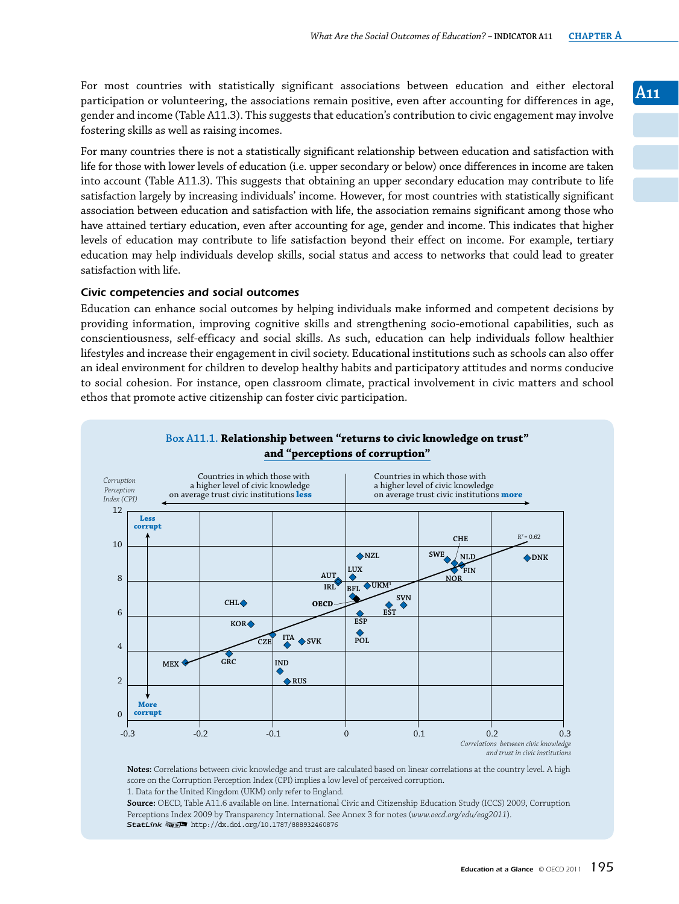For most countries with statistically significant associations between education and either electoral participation or volunteering, the associations remain positive, even after accounting for differences in age, gender and income (Table A11.3). This suggests that education's contribution to civic engagement may involve fostering skills as well as raising incomes.

For many countries there is not a statistically significant relationship between education and satisfaction with life for those with lower levels of education (i.e. upper secondary or below) once differences in income are taken into account (Table A11.3). This suggests that obtaining an upper secondary education may contribute to life satisfaction largely by increasing individuals' income. However, for most countries with statistically significant association between education and satisfaction with life, the association remains significant among those who have attained tertiary education, even after accounting for age, gender and income. This indicates that higher levels of education may contribute to life satisfaction beyond their effect on income. For example, tertiary education may help individuals develop skills, social status and access to networks that could lead to greater satisfaction with life.

#### *Civic competencies and social outcomes*

Education can enhance social outcomes by helping individuals make informed and competent decisions by providing information, improving cognitive skills and strengthening socio-emotional capabilities, such as conscientiousness, self-efficacy and social skills. As such, education can help individuals follow healthier lifestyles and increase their engagement in civil society. Educational institutions such as schools can also offer an ideal environment for children to develop healthy habits and participatory attitudes and norms conducive to social cohesion. For instance, open classroom climate, practical involvement in civic matters and school ethos that promote active citizenship can foster civic participation.



**Box A11.1. Relationship between "returns to civic knowledge on trust"** 

**Notes:** Correlations between civic knowledge and trust are calculated based on linear correlations at the country level. A high score on the Corruption Perception Index (CPI) implies a low level of perceived corruption.

1. Data for the United Kingdom (UKM) only refer to England.

**Source:** OECD, Table A11.6 available on line. International Civic and Citizenship Education Study (ICCS) 2009, Corruption Perceptions Index 2009 by Transparency International. See Annex 3 for notes (*www.oecd.org/edu/eag2011*). StatLink is http://dx.doi.org/10.1787/888932460876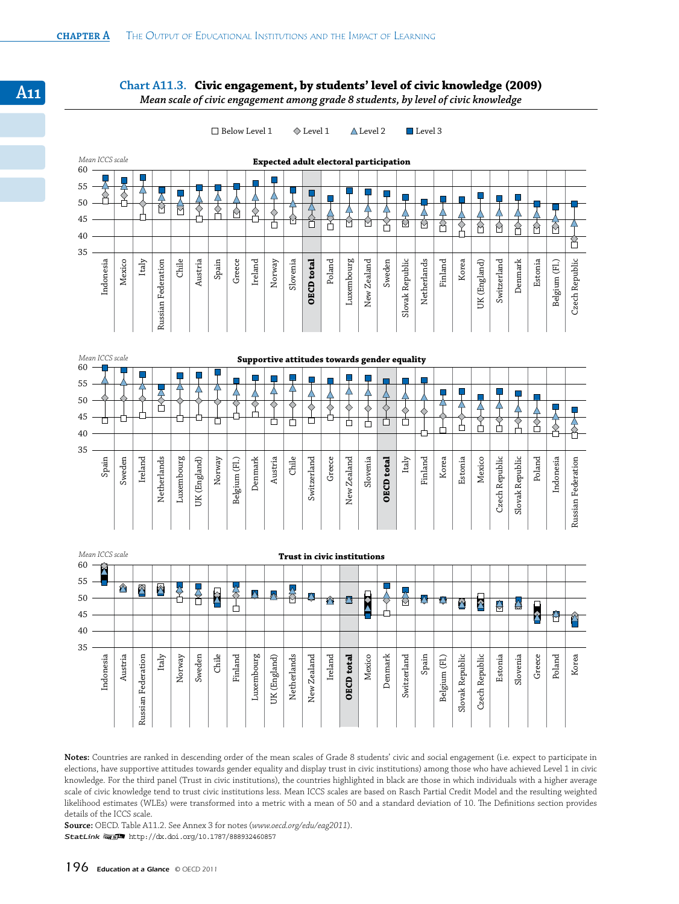**A11**

### **Chart A11.3. Civic engagement, by students' level of civic knowledge (2009)**  *Mean scale of civic engagement among grade 8 students, by level of civic knowledge*

 $\Box$  Below Level 1  $\Diamond$  Level 1  $\Box$  Level 2  $\Box$  Level 3

| 60                   | Mean ICCS scale |        |       |                       |       |         |       |        |         |        |          |                   |        |            | Expected adult electoral participation |        |                 |             |         |       |                        |             |         |         |                                        |                |
|----------------------|-----------------|--------|-------|-----------------------|-------|---------|-------|--------|---------|--------|----------|-------------------|--------|------------|----------------------------------------|--------|-----------------|-------------|---------|-------|------------------------|-------------|---------|---------|----------------------------------------|----------------|
| 55<br>50<br>45<br>40 |                 |        |       | ⋉                     | ⊠     |         |       |        |         |        |          |                   |        |            |                                        |        | ⊠               | М           |         |       |                        | М           |         |         | ᢙ                                      |                |
| 35                   | Indonesia       | Mexico | Italy | Federation<br>Russian | Chile | Austria | Spain | Greece | Ireland | Norway | Slovenia | <b>OECD</b> total | Poland | Luxembourg | Zealand<br>${\rm New}$                 | Sweden | Slovak Republic | Netherlands | Finland | Korea | (England)<br><b>UK</b> | Switzerland | Denmark | Estonia | $\left( \mathrm{Fl}\right)$<br>Belgium | Czech Republic |

|    | Mean ICCS scale |        |         |             | Supportive attitudes towards gender equality |                        |        |                |         |         |       |             |        |                |          |                      |       |         |       |         |        |                |                        |        |           |                       |
|----|-----------------|--------|---------|-------------|----------------------------------------------|------------------------|--------|----------------|---------|---------|-------|-------------|--------|----------------|----------|----------------------|-------|---------|-------|---------|--------|----------------|------------------------|--------|-----------|-----------------------|
| 60 |                 |        |         |             |                                              |                        |        |                |         |         |       |             |        |                |          |                      |       |         |       |         |        |                |                        |        |           |                       |
| 55 |                 |        |         |             |                                              |                        |        |                |         |         |       |             |        |                |          |                      |       |         |       |         |        |                |                        |        |           |                       |
| 50 |                 |        |         |             |                                              |                        |        |                |         |         |       |             |        |                |          |                      |       |         |       |         |        |                |                        |        |           |                       |
| 45 |                 |        |         |             |                                              |                        |        |                |         |         |       |             |        |                |          | ⊓                    |       |         |       |         |        |                |                        |        |           |                       |
| 40 |                 |        |         |             |                                              |                        |        |                |         |         |       |             |        |                |          |                      |       |         |       |         |        |                |                        |        |           |                       |
| 35 |                 |        |         |             |                                              |                        |        |                |         |         |       |             |        |                |          |                      |       |         |       |         |        |                |                        |        |           |                       |
|    | Spain           | Sweden | Ireland | Netherlands | Luxembourg                                   | (England)<br><b>UK</b> | Norway | (E)<br>Belgium | Denmark | Austria | Chile | Switzerland | Greece | Zealand<br>New | Slovenia | total<br><b>OECD</b> | Italy | Finland | Korea | Estonia | Mexico | Czech Republic | Republic<br>÷ੱ<br>Slov | Poland | Indonesia | Federation<br>Russian |

|        | Mean ICCS scale |                   | <b>Trust in civic institutions</b>  |             |        |        |       |         |            |                        |             |                 |         |                   |        |         |             |       |                        |                    |                   |         |              |        |        |       |
|--------|-----------------|-------------------|-------------------------------------|-------------|--------|--------|-------|---------|------------|------------------------|-------------|-----------------|---------|-------------------|--------|---------|-------------|-------|------------------------|--------------------|-------------------|---------|--------------|--------|--------|-------|
| 60     |                 |                   |                                     |             |        |        |       |         |            |                        |             |                 |         |                   |        |         |             |       |                        |                    |                   |         |              |        |        |       |
| $55 -$ |                 | $\curvearrowleft$ | $\boxtimes$                         | $\triangle$ |        |        | ∽     |         |            |                        |             |                 |         |                   |        |         |             |       |                        |                    |                   |         |              |        |        |       |
| 50     |                 |                   |                                     |             |        |        |       |         |            |                        |             |                 |         | ↩                 |        |         | М           |       |                        | $\sqrt{ }$         | Δ                 | 9       | $\mathbb{Z}$ |        |        |       |
| 45     |                 |                   |                                     |             |        |        |       |         |            |                        |             |                 |         |                   |        |         |             |       |                        |                    |                   |         |              |        |        |       |
| 40     |                 |                   |                                     |             |        |        |       |         |            |                        |             |                 |         |                   |        |         |             |       |                        |                    |                   |         |              |        |        |       |
| 35     | Indonesia       | Austria           | ederation<br>匤<br>sian<br>ÖÕ,<br>Ru | Italy       | Norway | Sweden | Chile | Finland | Luxembourg | (England)<br><b>UK</b> | Netherlands | Zealand<br>New. | Ireland | <b>OECD</b> total | Mexico | Denmark | Switzerland | Spain | $\rm (Fl.)$<br>Belgium | Republic<br>Slovak | Republic<br>Czech | Estonia | Slovenia     | Greece | Poland | Korea |

**Notes:** Countries are ranked in descending order of the mean scales of Grade 8 students' civic and social engagement (i.e. expect to participate in elections, have supportive attitudes towards gender equality and display trust in civic institutions) among those who have achieved Level 1 in civic knowledge. For the third panel (Trust in civic institutions), the countries highlighted in black are those in which individuals with a higher average scale of civic knowledge tend to trust civic institutions less. Mean ICCS scales are based on Rasch Partial Credit Model and the resulting weighted likelihood estimates (WLEs) were transformed into a metric with a mean of 50 and a standard deviation of 10. The Definitions section provides details of the ICCS scale.

12 http://dx.doi.org/10.1787/888932460857 **Source:** OECD. Table A11.2. See Annex 3 for notes (*www.oecd.org/edu/eag2011*).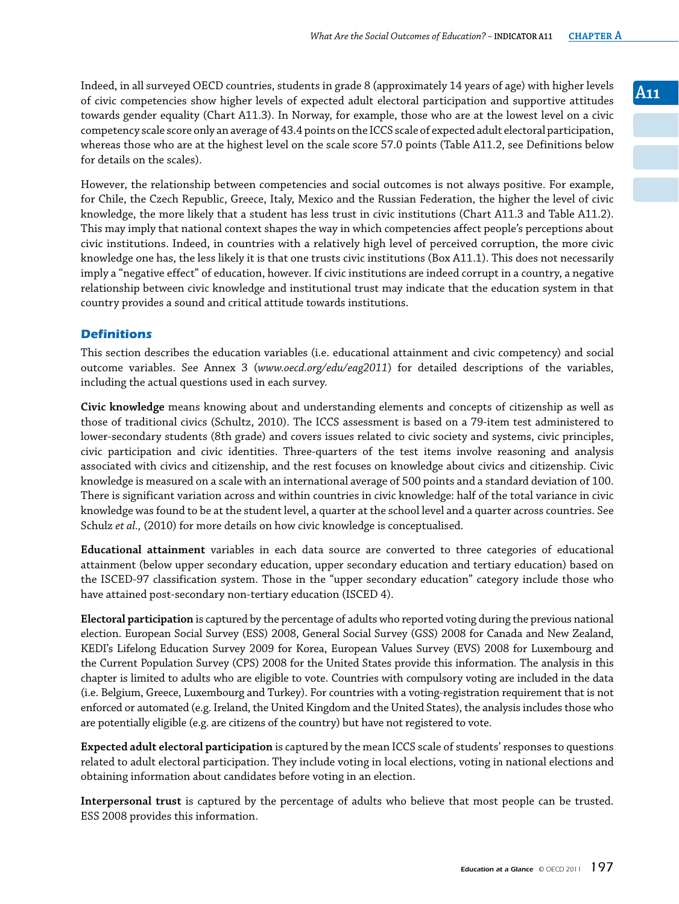Indeed, in all surveyed OECD countries, students in grade 8 (approximately 14 years of age) with higher levels of civic competencies show higher levels of expected adult electoral participation and supportive attitudes towards gender equality (Chart A11.3). In Norway, for example, those who are at the lowest level on a civic competency scale score only an average of 43.4 points on the ICCS scale of expected adult electoral participation, whereas those who are at the highest level on the scale score 57.0 points (Table A11.2, see Definitions below for details on the scales).

However, the relationship between competencies and social outcomes is not always positive. For example, for Chile, the Czech Republic, Greece, Italy, Mexico and the Russian Federation, the higher the level of civic knowledge, the more likely that a student has less trust in civic institutions (Chart A11.3 and Table A11.2). This may imply that national context shapes the way in which competencies affect people's perceptions about civic institutions. Indeed, in countries with a relatively high level of perceived corruption, the more civic knowledge one has, the less likely it is that one trusts civic institutions (Box A11.1). This does not necessarily imply a "negative effect" of education, however. If civic institutions are indeed corrupt in a country, a negative relationship between civic knowledge and institutional trust may indicate that the education system in that country provides a sound and critical attitude towards institutions.

### *Definitions*

This section describes the education variables (i.e. educational attainment and civic competency) and social outcome variables. See Annex 3 (*www.oecd.org/edu/eag2011*) for detailed descriptions of the variables, including the actual questions used in each survey.

**Civic knowledge** means knowing about and understanding elements and concepts of citizenship as well as those of traditional civics (Schultz, 2010). The ICCS assessment is based on a 79-item test administered to lower-secondary students (8th grade) and covers issues related to civic society and systems, civic principles, civic participation and civic identities. Three-quarters of the test items involve reasoning and analysis associated with civics and citizenship, and the rest focuses on knowledge about civics and citizenship. Civic knowledge is measured on a scale with an international average of 500 points and a standard deviation of 100. There is significant variation across and within countries in civic knowledge: half of the total variance in civic knowledge was found to be at the student level, a quarter at the school level and a quarter across countries. See Schulz *et al.,* (2010) for more details on how civic knowledge is conceptualised.

**Educational attainment** variables in each data source are converted to three categories of educational attainment (below upper secondary education, upper secondary education and tertiary education) based on the ISCED-97 classification system. Those in the "upper secondary education" category include those who have attained post-secondary non-tertiary education (ISCED 4).

**Electoral participation** is captured by the percentage of adults who reported voting during the previous national election. European Social Survey (ESS) 2008, General Social Survey (GSS) 2008 for Canada and New Zealand, KEDI's Lifelong Education Survey 2009 for Korea, European Values Survey (EVS) 2008 for Luxembourg and the Current Population Survey (CPS) 2008 for the United States provide this information. The analysis in this chapter is limited to adults who are eligible to vote. Countries with compulsory voting are included in the data (i.e. Belgium, Greece, Luxembourg and Turkey). For countries with a voting-registration requirement that is not enforced or automated (e.g. Ireland, the United Kingdom and the United States), the analysis includes those who are potentially eligible (e.g. are citizens of the country) but have not registered to vote.

**Expected adult electoral participation** is captured by the mean ICCS scale of students' responses to questions related to adult electoral participation. They include voting in local elections, voting in national elections and obtaining information about candidates before voting in an election.

**Interpersonal trust** is captured by the percentage of adults who believe that most people can be trusted. ESS 2008 provides this information.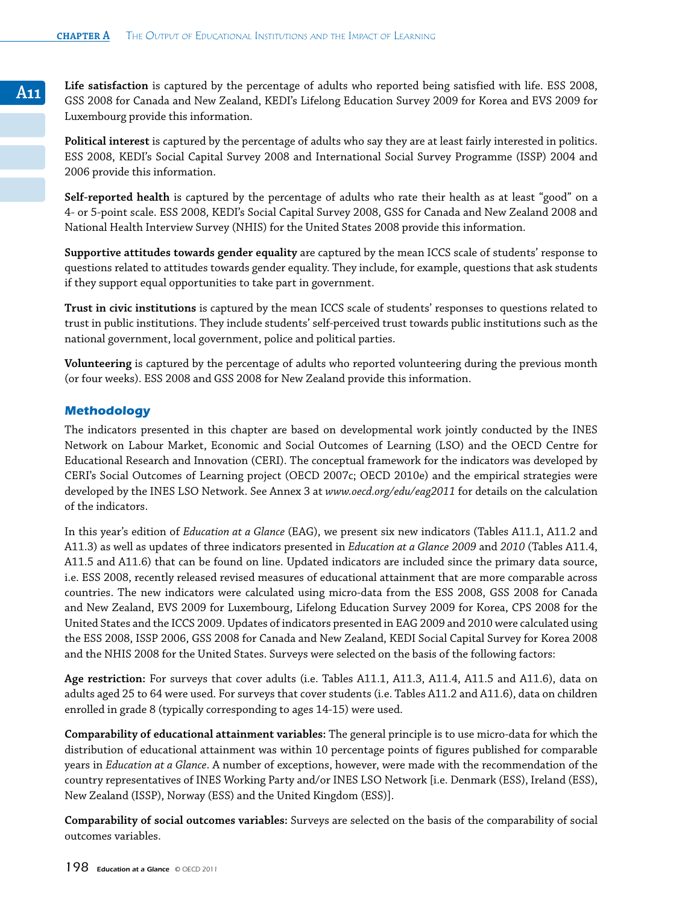**Life satisfaction** is captured by the percentage of adults who reported being satisfied with life. ESS 2008, GSS 2008 for Canada and New Zealand, KEDI's Lifelong Education Survey 2009 for Korea and EVS 2009 for Luxembourg provide this information.

**Political interest** is captured by the percentage of adults who say they are at least fairly interested in politics. ESS 2008, KEDI's Social Capital Survey 2008 and International Social Survey Programme (ISSP) 2004 and 2006 provide this information.

**Self-reported health** is captured by the percentage of adults who rate their health as at least "good" on a 4- or 5-point scale. ESS 2008, KEDI's Social Capital Survey 2008, GSS for Canada and New Zealand 2008 and National Health Interview Survey (NHIS) for the United States 2008 provide this information.

**Supportive attitudes towards gender equality** are captured by the mean ICCS scale of students' response to questions related to attitudes towards gender equality. They include, for example, questions that ask students if they support equal opportunities to take part in government.

**Trust in civic institutions** is captured by the mean ICCS scale of students' responses to questions related to trust in public institutions. They include students' self-perceived trust towards public institutions such as the national government, local government, police and political parties.

**Volunteering** is captured by the percentage of adults who reported volunteering during the previous month (or four weeks). ESS 2008 and GSS 2008 for New Zealand provide this information.

#### *Methodology*

The indicators presented in this chapter are based on developmental work jointly conducted by the INES Network on Labour Market, Economic and Social Outcomes of Learning (LSO) and the OECD Centre for Educational Research and Innovation (CERI). The conceptual framework for the indicators was developed by CERI's Social Outcomes of Learning project (OECD 2007c; OECD 2010e) and the empirical strategies were developed by the INES LSO Network. See Annex 3 at *www.oecd.org/edu/eag2011* for details on the calculation of the indicators.

In this year's edition of *Education at a Glance* (EAG), we present six new indicators (Tables A11.1, A11.2 and A11.3) as well as updates of three indicators presented in *Education at a Glance 2009* and *2010* (Tables A11.4, A11.5 and A11.6) that can be found on line. Updated indicators are included since the primary data source, i.e. ESS 2008, recently released revised measures of educational attainment that are more comparable across countries. The new indicators were calculated using micro-data from the ESS 2008, GSS 2008 for Canada and New Zealand, EVS 2009 for Luxembourg, Lifelong Education Survey 2009 for Korea, CPS 2008 for the United States and the ICCS 2009. Updates of indicators presented in EAG 2009 and 2010 were calculated using the ESS 2008, ISSP 2006, GSS 2008 for Canada and New Zealand, KEDI Social Capital Survey for Korea 2008 and the NHIS 2008 for the United States. Surveys were selected on the basis of the following factors:

**Age restriction:** For surveys that cover adults (i.e. Tables A11.1, A11.3, A11.4, A11.5 and A11.6), data on adults aged 25 to 64 were used. For surveys that cover students (i.e. Tables A11.2 and A11.6), data on children enrolled in grade 8 (typically corresponding to ages 14-15) were used.

**Comparability of educational attainment variables:** The general principle is to use micro-data for which the distribution of educational attainment was within 10 percentage points of figures published for comparable years in *Education at a Glance*. A number of exceptions, however, were made with the recommendation of the country representatives of INES Working Party and/or INES LSO Network [i.e. Denmark (ESS), Ireland (ESS), New Zealand (ISSP), Norway (ESS) and the United Kingdom (ESS)].

**Comparability of social outcomes variables:** Surveys are selected on the basis of the comparability of social outcomes variables.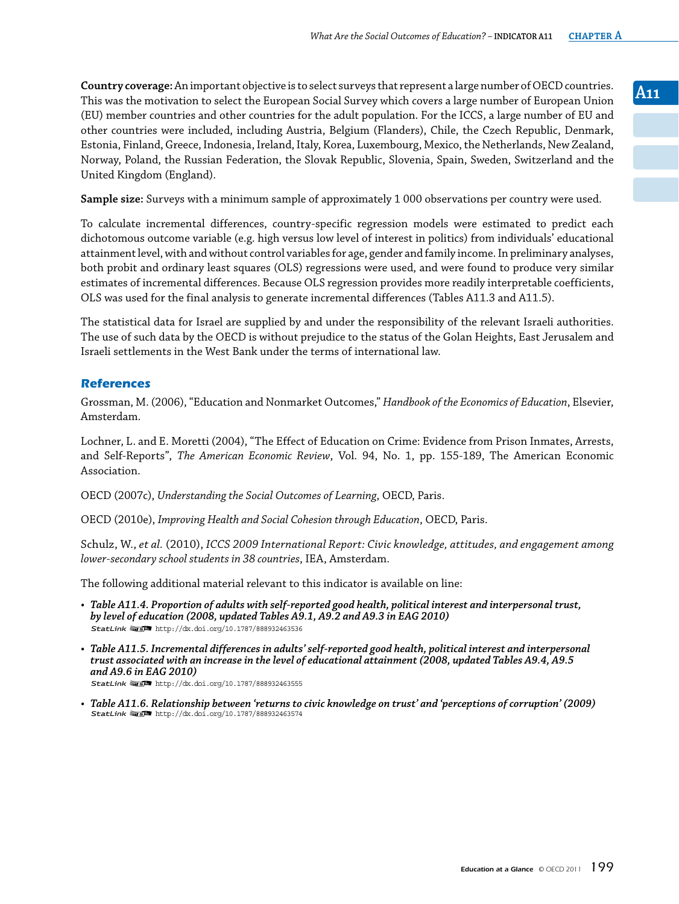**Country coverage:** An important objective is to select surveys that represent a large number of OECD countries. This was the motivation to select the European Social Survey which covers a large number of European Union (EU) member countries and other countries for the adult population. For the ICCS, a large number of EU and other countries were included, including Austria, Belgium (Flanders), Chile, the Czech Republic, Denmark, Estonia, Finland, Greece, Indonesia, Ireland, Italy, Korea, Luxembourg, Mexico, the Netherlands, New Zealand, Norway, Poland, the Russian Federation, the Slovak Republic, Slovenia, Spain, Sweden, Switzerland and the United Kingdom (England).

**Sample size:** Surveys with a minimum sample of approximately 1 000 observations per country were used.

To calculate incremental differences, country-specific regression models were estimated to predict each dichotomous outcome variable (e.g. high versus low level of interest in politics) from individuals' educational attainment level, with and without control variables for age, gender and family income. In preliminary analyses, both probit and ordinary least squares (OLS) regressions were used, and were found to produce very similar estimates of incremental differences. Because OLS regression provides more readily interpretable coefficients, OLS was used for the final analysis to generate incremental differences (Tables A11.3 and A11.5).

The statistical data for Israel are supplied by and under the responsibility of the relevant Israeli authorities. The use of such data by the OECD is without prejudice to the status of the Golan Heights, East Jerusalem and Israeli settlements in the West Bank under the terms of international law.

### *References*

Grossman, M. (2006), "Education and Nonmarket Outcomes," *Handbook of the Economics of Education*, Elsevier, Amsterdam.

Lochner, L. and E. Moretti (2004), "The Effect of Education on Crime: Evidence from Prison Inmates, Arrests, and Self-Reports", *The American Economic Review*, Vol. 94, No. 1, pp. 155-189, The American Economic Association.

OECD (2007c), *Understanding the Social Outcomes of Learning*, OECD, Paris.

OECD (2010e), *Improving Health and Social Cohesion through Education*, OECD, Paris.

Schulz, W., *et al.* (2010), *ICCS 2009 International Report: Civic knowledge, attitudes, and engagement among lower-secondary school students in 38 countries*, IEA, Amsterdam.

The following additional material relevant to this indicator is available on line:

- *• Table A11.4. Proportion of adults with self-reported good health, political interest and interpersonal trust, by level of education (2008, updated Tables A9.1, A9.2 and A9.3 in EAG 2010)*  \*<br>StatLink 編写 http://dx.doi.org/10.1787/888932463536
- Table A11.5. Incremental differences in adults' self-reported good health, political interest and interpersonal *trust associated with an increase in the level of educational attainment (2008, updated Tables A9.4, A9.5 and A9.6 in EAG 2010)*  StatLink instant http://dx.doi.org/10.1787/888932463555
- *• Table A11.6. Relationship between 'returns to civic knowledge on trust' and 'perceptions of corruption' (2009)*  StatLink is http://dx.doi.org/10.1787/888932463574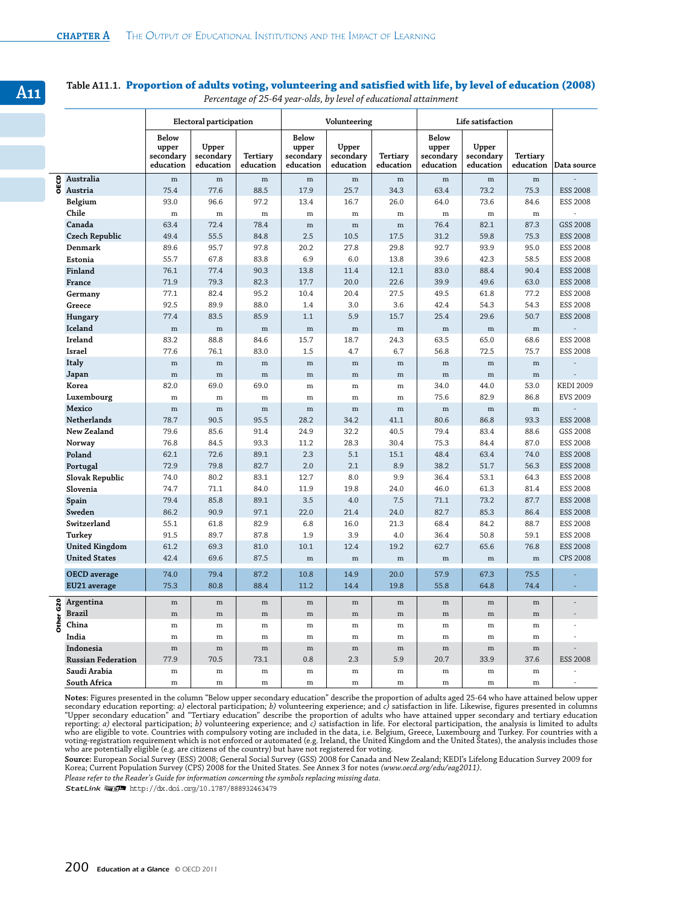## **Table A11.1. Proportion of adults voting, volunteering and satisfied with life, by level of education (2008)**

*Percentage of 25-64 year-olds, by level of educational attainment*

|   |                           |                                                 | <b>Electoral participation</b>  |                       |                                                 | Volunteering                    |                       | Life satisfaction                               |                                 |                       |                                    |
|---|---------------------------|-------------------------------------------------|---------------------------------|-----------------------|-------------------------------------------------|---------------------------------|-----------------------|-------------------------------------------------|---------------------------------|-----------------------|------------------------------------|
|   |                           | <b>Below</b><br>upper<br>secondary<br>education | Upper<br>secondary<br>education | Tertiary<br>education | <b>Below</b><br>upper<br>secondary<br>education | Upper<br>secondary<br>education | Tertiary<br>education | <b>Below</b><br>upper<br>secondary<br>education | Upper<br>secondary<br>education | Tertiary<br>education | Data source                        |
| 8 | Australia                 | m                                               | m                               | m                     | ${\rm m}$                                       | ${\rm m}$                       | m                     | m                                               | m                               | ${\bf m}$             |                                    |
| ŏ | Austria                   | 75.4                                            | 77.6                            | 88.5                  | 17.9                                            | 25.7                            | 34.3                  | 63.4                                            | 73.2                            | 75.3                  | <b>ESS 2008</b>                    |
|   | Belgium                   | 93.0                                            | 96.6                            | 97.2                  | 13.4                                            | 16.7                            | 26.0                  | 64.0                                            | 73.6                            | 84.6                  | <b>ESS 2008</b>                    |
|   | Chile                     | m                                               | m                               | m                     | m                                               | m                               | m                     | m                                               | m                               | ${\rm m}$             |                                    |
|   | Canada                    | 63.4                                            | 72.4                            | 78.4                  | m                                               | m                               | m                     | 76.4                                            | 82.1                            | 87.3                  | GSS 2008                           |
|   | Czech Republic            | 49.4                                            | 55.5                            | 84.8                  | 2.5                                             | 10.5                            | 17.5                  | 31.2                                            | 59.8                            | 75.3                  | <b>ESS 2008</b>                    |
|   | Denmark                   | 89.6                                            | 95.7                            | 97.8                  | 20.2                                            | 27.8                            | 29.8                  | 92.7                                            | 93.9                            | 95.0                  | <b>ESS 2008</b>                    |
|   | Estonia                   | 55.7                                            | 67.8                            | 83.8                  | 6.9                                             | 6.0                             | 13.8                  | 39.6                                            | 42.3                            | 58.5                  | <b>ESS 2008</b>                    |
|   | Finland                   | 76.1                                            | 77.4                            | 90.3                  | 13.8                                            | 11.4                            | 12.1                  | 83.0                                            | 88.4                            | 90.4                  | <b>ESS 2008</b>                    |
|   | France                    | 71.9                                            | 79.3                            | 82.3                  | 17.7                                            | 20.0                            | 22.6                  | 39.9                                            | 49.6                            | 63.0                  | <b>ESS 2008</b>                    |
|   | Germany                   | 77.1                                            | 82.4                            | 95.2                  | 10.4                                            | 20.4                            | 27.5                  | 49.5                                            | 61.8                            | 77.2                  | <b>ESS 2008</b>                    |
|   | Greece                    | 92.5                                            | 89.9                            | 88.0                  | 1.4                                             | 3.0                             | 3.6                   | 42.4                                            | 54.3                            | 54.3                  | <b>ESS 2008</b>                    |
|   | Hungary                   | 77.4                                            | 83.5                            | 85.9                  | 1.1                                             | 5.9                             | 15.7                  | 25.4                                            | 29.6                            | 50.7                  | <b>ESS 2008</b>                    |
|   | Iceland                   | m                                               | m                               | m                     | m                                               | m                               | m                     | m                                               | m                               | ${\bf m}$             |                                    |
|   | Ireland                   | 83.2                                            | 88.8                            | 84.6                  | 15.7                                            | 18.7                            | 24.3                  | 63.5                                            | 65.0                            | 68.6                  | <b>ESS 2008</b>                    |
|   | Israel                    | 77.6                                            | 76.1                            | 83.0                  | 1.5                                             | 4.7                             | 6.7                   | 56.8                                            | 72.5                            | 75.7                  | <b>ESS 2008</b>                    |
|   | Italy                     | m                                               | m                               | m                     | ${\rm m}$                                       | ${\rm m}$                       | ${\rm m}$             | m                                               | m                               | ${\rm m}$             |                                    |
|   | Japan                     | m                                               | m                               | m                     | m                                               | m                               | m                     | m                                               | m                               | ${\bf m}$             |                                    |
|   | Korea                     | 82.0                                            | 69.0                            | 69.0                  | m                                               | m                               | ${\bf m}$             | 34.0                                            | 44.0                            | 53.0                  | <b>KEDI 2009</b>                   |
|   | Luxembourg                | m                                               | m                               | m                     | m                                               | m                               | m                     | 75.6                                            | 82.9                            | 86.8                  | <b>EVS 2009</b>                    |
|   | Mexico                    | m                                               | m                               | m                     | m                                               | m                               | m                     | m                                               | m                               | ${\bf m}$             |                                    |
|   | Netherlands               | 78.7                                            | 90.5                            | 95.5                  | 28.2                                            | 34.2                            | 41.1                  | 80.6                                            | 86.8                            | 93.3                  | <b>ESS 2008</b>                    |
|   | New Zealand               | 79.6                                            | 85.6                            | 91.4                  | 24.9                                            | 32.2                            | 40.5                  | 79.4                                            | 83.4                            | 88.6                  | GSS 2008                           |
|   | Norway                    | 76.8                                            | 84.5                            | 93.3                  | 11.2                                            | 28.3                            | 30.4                  | 75.3                                            | 84.4                            | 87.0                  | <b>ESS 2008</b>                    |
|   | Poland                    | 62.1                                            | 72.6                            | 89.1                  | 2.3                                             | 5.1                             | 15.1                  | 48.4                                            | 63.4                            | 74.0                  | <b>ESS 2008</b>                    |
|   | Portugal                  | 72.9                                            | 79.8                            | 82.7                  | 2.0                                             | 2.1                             | 8.9                   | 38.2                                            | 51.7                            | 56.3                  | <b>ESS 2008</b>                    |
|   | Slovak Republic           | 74.0<br>74.7                                    | 80.2<br>71.1                    | 83.1<br>84.0          | 12.7                                            | 8.0<br>19.8                     | 9.9<br>24.0           | 36.4<br>46.0                                    | 53.1<br>61.3                    | 64.3                  | <b>ESS 2008</b>                    |
|   | Slovenia                  | 79.4                                            | 85.8                            | 89.1                  | 11.9<br>3.5                                     | 4.0                             | 7.5                   | 71.1                                            | 73.2                            | 81.4<br>87.7          | <b>ESS 2008</b><br><b>ESS 2008</b> |
|   | Spain<br>Sweden           | 86.2                                            | 90.9                            | 97.1                  | 22.0                                            | 21.4                            | 24.0                  | 82.7                                            | 85.3                            | 86.4                  | <b>ESS 2008</b>                    |
|   | Switzerland               | 55.1                                            | 61.8                            | 82.9                  | 6.8                                             | 16.0                            | 21.3                  | 68.4                                            | 84.2                            | 88.7                  | <b>ESS 2008</b>                    |
|   | Turkey                    | 91.5                                            | 89.7                            | 87.8                  | 1.9                                             | 3.9                             | 4.0                   | 36.4                                            | 50.8                            | 59.1                  | <b>ESS 2008</b>                    |
|   | <b>United Kingdom</b>     | 61.2                                            | 69.3                            | 81.0                  | 10.1                                            | 12.4                            | 19.2                  | 62.7                                            | 65.6                            | 76.8                  | <b>ESS 2008</b>                    |
|   | <b>United States</b>      | 42.4                                            | 69.6                            | 87.5                  | m                                               | m                               | m                     | m                                               | m                               | ${\bf m}$             | <b>CPS 2008</b>                    |
|   |                           |                                                 |                                 |                       |                                                 |                                 |                       |                                                 |                                 |                       |                                    |
|   | <b>OECD</b> average       | 74.0                                            | 79.4                            | 87.2                  | 10.8                                            | 14.9                            | 20.0                  | 57.9                                            | 67.3                            | 75.5                  |                                    |
|   | EU21 average              | 75.3                                            | 80.8                            | 88.4                  | 11.2                                            | 14.4                            | 19.8                  | 55.8                                            | 64.8                            | 74.4                  |                                    |
|   | Argentina                 | m                                               | m                               | m                     | m                                               | m                               | ${\rm m}$             | m                                               | m                               | m                     |                                    |
|   | <b>Brazil</b>             | m                                               | m                               | m                     | m                                               | m                               | m                     | m                                               | m                               | ${\rm m}$             |                                    |
|   | China                     | m                                               | m                               | m                     | ${\bf m}$                                       | m                               | m                     | m                                               | m                               | ${\bf m}$             |                                    |
|   | India                     | m                                               | m                               | m                     | m                                               | m                               | m                     | m                                               | m                               | ${\bf m}$             |                                    |
|   | Indonesia                 | m                                               | m                               | m                     | m                                               | m                               | m                     | m                                               | m                               | ${\rm m}$             |                                    |
|   | <b>Russian Federation</b> | 77.9                                            | 70.5                            | 73.1                  | 0.8                                             | 2.3                             | 5.9                   | 20.7                                            | 33.9                            | 37.6                  | <b>ESS 2008</b>                    |
|   | Saudi Arabia              | m                                               | m                               | m                     | m                                               | m                               | m                     | m                                               | m                               | ${\bf m}$             |                                    |
|   | South Africa              | m                                               | m                               | m                     | m                                               | m                               | m                     | m                                               | m                               | ${\bf m}$             |                                    |

**A11**

**Notes:** Figures presented in the column "Below upper secondary education" describe the proportion of adults aged 25-64 who have attained below upper secondary education reporting: a) electoral participation; b) volunteering experience; and c) satisfaction in life. Likewise, figures presented in columns<br>"Upper secondary education" and "Tertiary education" describe the p who are potentially eligible (e.g. are citizens of the country) but have not registered for voting.

**Source:** European Social Survey (ESS) 2008; General Social Survey (GSS) 2008 for Canada and New Zealand; KEDI's Lifelong Education Survey 2009 for Korea; Current Population Survey (CPS) 2008 for the United States. See Annex 3 for notes *(www.oecd.org/edu/eag2011)*.

*Please refer to the Reader's Guide for information concerning the symbols replacing missing data.*

StatLink 15 http://dx.doi.org/10.1787/888932463479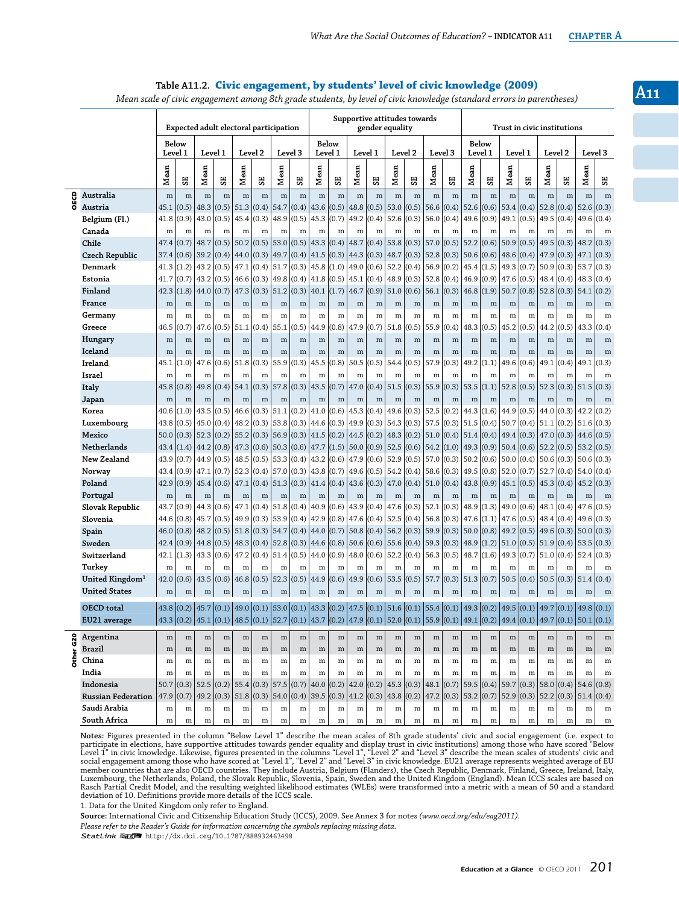### **Table A11.2. Civic engagement, by students' level of civic knowledge (2009)**

*Mean scale of civic engagement among 8th grade students, by level of civic knowledge (standard errors in parentheses)*

|               |                           |              |                  |              | Expected adult electoral participation                                                                                                          |              |                |                                                                                                                                                                                                                                                                                                                                                                                                   |                | Supportive attitudes towards<br>gender equality |                |              |                |              |                |              |                |                  | Trust in civic institutions |              |                |              |                |              |                |
|---------------|---------------------------|--------------|------------------|--------------|-------------------------------------------------------------------------------------------------------------------------------------------------|--------------|----------------|---------------------------------------------------------------------------------------------------------------------------------------------------------------------------------------------------------------------------------------------------------------------------------------------------------------------------------------------------------------------------------------------------|----------------|-------------------------------------------------|----------------|--------------|----------------|--------------|----------------|--------------|----------------|------------------|-----------------------------|--------------|----------------|--------------|----------------|--------------|----------------|
|               |                           |              |                  |              |                                                                                                                                                 |              |                |                                                                                                                                                                                                                                                                                                                                                                                                   |                |                                                 |                |              |                |              |                |              |                |                  |                             |              |                |              |                |              |                |
|               |                           |              | Below<br>Level 1 |              | Level 1                                                                                                                                         | Level 2      |                | Level 3                                                                                                                                                                                                                                                                                                                                                                                           |                | Below<br>Level 1                                |                | Level 1      |                | Level 2      |                | Level 3      |                | Below<br>Level 1 |                             | Level 1      |                |              | Level 2        |              | Level 3        |
|               |                           | Mean         | 55               | Mean         | 69                                                                                                                                              | Mean         | 55             | Mean                                                                                                                                                                                                                                                                                                                                                                                              | 55             | Mean                                            | 55             | Mean         | 55             | Mean         | 55             | Mean         | $_{\rm{SE}}$   | Mean             | æ                           | Mean         | 55             | Mean         | 55             | Mean         | 55             |
|               | Australia                 | m            | m                | m            | m                                                                                                                                               | m            | m              | m                                                                                                                                                                                                                                                                                                                                                                                                 | m              | m                                               | m              | m            | m              | m            | m              | m            | m              | m                | m                           | m            | m              | ${\bf m}$    | m              | m            | m              |
| ō             | Austria                   | 45.1         | (0.5)            | 48.3         | (0.5)                                                                                                                                           | 51.3         | (0.4)          | 54.7                                                                                                                                                                                                                                                                                                                                                                                              | (0.4)          | 43.6                                            | (0.5)          | 48.8         | (0.5)          | 53.0         | (0.5)          | 56.6         | (0.4)          | 52.6             | (0.6)                       | 53.4         | (0.4)          | 52.8         | (0.4)          | 52.6         | (0.3)          |
|               | Belgium (Fl.)             | 41.8         | (0.9)            | 43.0         | (0.5)                                                                                                                                           | 45.4         | (0.3)          | 48.9                                                                                                                                                                                                                                                                                                                                                                                              | (0.5)          | 45.3                                            | (0.7)          | 49.2         | (0.4)          | 52.6         | (0.3)          | 56.0         | (0.4)          | 49.6             | (0.9)                       | 49.1         | (0.5)          | 49.5         | (0.4)          | 49.6         | (0.4)          |
|               | Canada                    | m            | m                | m            | m                                                                                                                                               | m            | m              | m                                                                                                                                                                                                                                                                                                                                                                                                 | m              | m                                               | m              | m            | m              | m            | m              | m            | m              | m                | m                           | m            | m              | m            | m              | m            | m              |
|               | Chile                     | 47.4         | (0.7)            | 48.7         | (0.5)                                                                                                                                           | 50.2         | (0.5)          | 53.0                                                                                                                                                                                                                                                                                                                                                                                              | (0.5)          | 43.3                                            | (0.4)          | 48.7         | (0.4)          | 53.8         | (0.3)          | 57.0         | (0.5)          | 52.2             | (0.6)                       | 50.9         | (0.5)          | 49.5         | (0.3)          | 48.2         | (0.3)          |
|               | Czech Republic            | 37.4         | (0.6)            | 39.2         | (0.4)                                                                                                                                           | 44.0         | (0.3)          | 49.7                                                                                                                                                                                                                                                                                                                                                                                              | (0.4)          | 41.5                                            | (0.3)          | 44.3         | (0.3)          | 48.7         | (0.3)          | 52.8         | (0.3)          | 50.6             | (0.6)                       | 48.6         | (0.4)          | 47.9         | (0.3)          | 47.1         | (0.3)          |
|               | Denmark                   | 41.3         | (1.2)            | 43.2         | (0.5)                                                                                                                                           | 47.1         | (0.4)          | 51.7                                                                                                                                                                                                                                                                                                                                                                                              | (0.3)          | 45.8                                            | (1.0)          | 49.0         | (0.6)          | 52.2         | (0.4)          | 56.9         | (0.2)          | 45.4             | (1.5)                       | 49.3         | (0.7)          | 50.9         | (0.3)          | 53.7         | (0.3)          |
|               | Estonia                   | 41.7         | (0.7)            | 43.2         | (0.5)                                                                                                                                           | 46.6         | (0.3)          | 49.8                                                                                                                                                                                                                                                                                                                                                                                              | (0.4)          | 41.8                                            | (0.5)          | 45.1         | (0.4)          | 48.9         | (0.3)          | 52.8         | (0.4)          | 46.9             | (0.9)                       | 47.6         | (0.5)          | 48.4         | (0.4)          | 48.3         | (0.4)          |
|               | Finland                   | 42.3         | (1.8)            | 44.0         | (0.7)                                                                                                                                           | 47.3         | (0.3)          | 51.2                                                                                                                                                                                                                                                                                                                                                                                              | (0.3)          | 40.1                                            | (1.7)          | 46.7         | (0.9)          | 51.0         | (0.6)          | 56.1         | (0.3)          | 46.8             | (1.9)                       | 50.7         | (0.8)          | 52.8         | (0.3)          | 54.1         | (0.2)          |
|               | France                    | m            | m                | m            | m                                                                                                                                               | m            | m              | m                                                                                                                                                                                                                                                                                                                                                                                                 | m              | m                                               | m              | m            | m              | m            | m              | m            | m              | m                | m                           | m            | m              | m            | m              | m            | m              |
|               | Germany                   | m            | m                | m            | m                                                                                                                                               | m            | m              | m                                                                                                                                                                                                                                                                                                                                                                                                 | m              | m                                               | m              | m            | m              | m            | m              | m            | m              | m                | m                           | m            | m              | m            | m              | m            | m              |
|               | Greece                    | 46.5         | 0.7)             | 47.6         | (0.5)                                                                                                                                           | 51.1         | (0.4)          | 55.1                                                                                                                                                                                                                                                                                                                                                                                              | (0.5)          | 44.9                                            | (0.8)          | 47.9         | 0.7)           | 51.8         | (0.5)          | 55.9         | (0.4)          | 48.3             | (0.5)                       | 45.2         | 0.5)           | 44.2         | 0.5)           | 43.3         | (0.4)          |
|               | Hungary                   | m            | m                | m            | m                                                                                                                                               | m            | m              | m                                                                                                                                                                                                                                                                                                                                                                                                 | m              | m                                               | m              | m            | m              | m            | m              | m            | m              | m                | m                           | m            | m              | m            | m              | m            | m              |
|               | Iceland                   | m            | m                | m            | m                                                                                                                                               | m            | m              | m                                                                                                                                                                                                                                                                                                                                                                                                 | m              | m                                               | m              | m            | m              | m            | m              | m            | m              | m                | m                           | m            | m              | m            | m              | m            | m              |
|               | Ireland                   | 45.1         | 1.0)             | 47.6         | (0.6)                                                                                                                                           | 51.8         | (0.3)          | 55.9                                                                                                                                                                                                                                                                                                                                                                                              | (0.3)          | 45.5                                            | (0.8)          | 50.5         | (0.5)          | 54.4         | (0.5)          | 57.9         | (0.3)          | 49.2             | (1.1)                       | 49.6         | (0.6)          | 49.1         | (0.4)          | 49.1         | (0.3)          |
|               | Israel                    | m            | m                | m            | m                                                                                                                                               | m            | m              | m                                                                                                                                                                                                                                                                                                                                                                                                 | m              | m                                               | m              | m            | m              | m            | m              | m            | m              | m                | m                           | m            | m              | m            | m              | m            | m              |
|               | Italy                     | 45.8         | (0.8)            | 49.8         | (0.4)                                                                                                                                           | 54.1         | (0.3)          | 57.8                                                                                                                                                                                                                                                                                                                                                                                              | (0.3)          | 43.5                                            | (0.7)          | 47.0         | (0.4)          | 51.5         | (0.3)          | 55.9         | (0.3)          | 53.5             | (1.1)                       | 52.8         | (0.5)          | 52.3         | (0.3)          | 51.5         | (0.3)          |
|               | Japan                     | m            | m                | m            | m                                                                                                                                               | m            | m              | m                                                                                                                                                                                                                                                                                                                                                                                                 | m              | m                                               | m              | m            | m              | m            | m              | m            | m              | m                | m                           | m            | m              | m            | m              | m            | m              |
|               | Korea                     | 40.6         | (1.0)            | 43.5         | (0.5)                                                                                                                                           | 46.6         | (0.3)          | 51.1                                                                                                                                                                                                                                                                                                                                                                                              | (0.2)          | 41.0                                            | (0.6)          | 45.3         | (0.4)          | 49.6         | (0.3)          | 52.5         | (0.2)          | 44.3             | (1.6)                       | 44.9         | (0.5)          | 44.0         | (0.3)          | 42.2         | (0.2)          |
|               | Luxembourg                | 43.8         | (0.5)            | 45.0         | (0.4)                                                                                                                                           | 48.2         | (0.3)          | 53.8                                                                                                                                                                                                                                                                                                                                                                                              | (0.3)          | 44.6                                            | (0.3)          | 49.9         | (0.3)          | 54.3         | (0.3)          | 57.5         | (0.3)          | 51.5             | (0.4)                       | 50.7         | (0.4)          | 51.1         | (0.2)          | 51.6         | (0.3)          |
|               | Mexico                    | 50.0         | (0.3)            | 52.3         | (0.2)                                                                                                                                           | 55.2         | (0.3)          | 56.9                                                                                                                                                                                                                                                                                                                                                                                              | (0.3)          | 41.5                                            | (0.2)          | 44.5         | (0.2)          | 48.3         | (0.2)          | 51.0         | (0.4)          | 51.4             | (0.4)                       | 49.4         | (0.3)          | 47.0         | (0.3)          | 44.6         | (0.5)          |
|               | Netherlands               | 43.4         | (1.4)            | 44.2         | (0.8)                                                                                                                                           | 47.3         | (0.6)          | 50.3                                                                                                                                                                                                                                                                                                                                                                                              | (0.6)          | 47.7                                            | (1.5)          | 50.0         | (0.9)          | 52.5         | (0.6)          | 54.2         | (1.0)          | 49.3             | (0.9)                       | 50.4         | (0.6)          | 52.2         | (0.5)          | 53.2         | (0.5)          |
|               | New Zealand               | 43.9         | (0.7)<br>(0.9)   | 44.9<br>47.1 | (0.5)<br>(0.7)                                                                                                                                  | 48.5<br>52.3 | (0.5)<br>(0.4) | 53.3<br>57.0                                                                                                                                                                                                                                                                                                                                                                                      | (0.4)<br>(0.3) | 43.2<br>43.8                                    | (0.6)<br>(0.7) | 47.9<br>49.6 | (0.6)<br>(0.5) | 52.9<br>54.2 | (0.5)<br>(0.4) | 57.0<br>58.6 | (0.3)          | 50.2<br>49.5     | (0.6)                       | 50.0<br>52.0 | (0.4)<br>(0.7) | 50.6<br>52.7 | (0.3)<br>(0.4) | 50.6<br>54.0 | (0.3)<br>(0.4) |
|               | Norway<br>Poland          | 43.4<br>42.9 | (0.9)            | 45.4         | (0.6)                                                                                                                                           | 47.1         | (0.4)          | 51.3                                                                                                                                                                                                                                                                                                                                                                                              | (0.3)          | 41.4                                            | (0.4)          | 43.6         | (0.3)          | 47.0         | (0.4)          | 51.0         | (0.3)<br>(0.4) | 43.8             | (0.8)<br>(0.9)              | 45.1         | (0.5)          | 45.3         | (0.4)          | 45.2         | (0.3)          |
|               | Portugal                  | m            | m                | m            | m                                                                                                                                               | m            | m              | m                                                                                                                                                                                                                                                                                                                                                                                                 | m              | m                                               | m              | m            | m              | m            | m              | m            | m              | m                | m                           | m            | m              | m            | m              | m            | m              |
|               | Slovak Republic           | 43.7         | (0.9)            | 44.3         | (0.6)                                                                                                                                           | 47.1         | (0.4)          | 51.8                                                                                                                                                                                                                                                                                                                                                                                              | (0.4)          | 40.9                                            | (0.6)          | 43.9         | (0.4)          | 47.6         | (0.3)          | 52.1         | (0.3)          | 48.9             | (1.3)                       | 49.0         | (0.6)          | 48.1         | (0.4)          | 47.6         | (0.5)          |
|               | Slovenia                  | 44.6         | (0.8)            | 45.7         | (0.5)                                                                                                                                           | 49.9         | (0.3)          | 53.9                                                                                                                                                                                                                                                                                                                                                                                              | (0.4)          | 42.9                                            | (0.8)          | 47.6         | (0.4)          | 52.5         | (0.4)          | 56.8         | (0.3)          | 47.6             | (1.1)                       | 47.6         | (0.5)          | 48.4         | (0.4)          | 49.6         | (0.3)          |
|               | Spain                     | 46.0         | (0.8)            | 48.2         | (0.5)                                                                                                                                           | 51.8         | (0.3)          | 54.7                                                                                                                                                                                                                                                                                                                                                                                              | (0.4)          | 44.0                                            | (0.7)          | 50.8         | (0.4)          | 56.2         | (0.3)          | 59.9         | (0.3)          | 50.0             | (0.8)                       | 49.2         | (0.5)          | 49.6         | (0.3)          | 50.0         | (0.3)          |
|               | Sweden                    | 42.4         | (0.9)            | 44.8         | (0.5)                                                                                                                                           | 48.3         | (0.4)          | 52.8                                                                                                                                                                                                                                                                                                                                                                                              | (0.3)          | 44.6                                            | (0.8)          | 50.6         | (0.6)          | 55.6         | (0.4)          | 59.3         | (0.3)          | 48.9             | (1.2)                       | 51.0         | (0.5)          | 51.9         | (0.4)          | 53.5         | (0.3)          |
|               | Switzerland               | 42.1         | (1.3)            | 43.3         | (0.6)                                                                                                                                           | 47.2         | (0.4)          | 51.4                                                                                                                                                                                                                                                                                                                                                                                              | (0.5)          | 44.0                                            | (0.9)          | 48.0         | (0.6)          | 52.2         | (0.4)          | 56.3         | (0.5)          | 48.7             | (1.6)                       | 49.3         | (0.7)          | 51.0         | (0.4)          | 52.4         | (0.3)          |
|               | Turkey                    | m            | m                | m            | m                                                                                                                                               | m            | m              | m                                                                                                                                                                                                                                                                                                                                                                                                 | m              | m                                               | m              | m            | m              | m            | m              | m            | m              | m                | m                           | m            | m              | m            | m              | m            | m              |
|               | United Kingdom $1$        | 42.0         | (0.6)            | 43.5         | (0.6)                                                                                                                                           | 46.8         | (0.5)          | 52.3                                                                                                                                                                                                                                                                                                                                                                                              | (0.5)          | 44.9                                            | (0.6)          | 49.9         | (0.6)          | 53.5         | (0.5)          | 57.7         | (0.3)          | 51.3             | (0.7)                       | 50.5         | (0.4)          | 50.5         | (0.3)          | 51.4         | (0.4)          |
|               | <b>United States</b>      | m            | m                | m            | m                                                                                                                                               | m            | m              | m                                                                                                                                                                                                                                                                                                                                                                                                 | m              | m                                               | m              | m            | m              | m            | m              | m            | m              | m                | m                           | m            | m              | m            | m              | m            | m              |
|               | <b>OECD</b> total         |              |                  |              | $43.8(0.2)$ $45.7(0.1)$ $49.0(0.1)$ $53.0(0.1)$ $43.8(0.2)$ $47.5(0.1)$ $51.6(0.1)$ $55.4(0.1)$ $49.3(0.2)$ $49.5(0.1)$ $49.7(0.1)$ $49.8(0.1)$ |              |                |                                                                                                                                                                                                                                                                                                                                                                                                   |                |                                                 |                |              |                |              |                |              |                |                  |                             |              |                |              |                |              |                |
|               | <b>EU21</b> average       | 43.3         |                  |              | $(0.2)$ 45.1 $(0.1)$                                                                                                                            |              |                | $\left  \frac{48.5}{0.1} \right  \left  \frac{52.7}{0.1} \right  \left  \frac{43.7}{0.2} \right  \left  \frac{47.9}{0.2} \right  \left  \frac{47.9}{0.1} \right  \left  \frac{52.0}{0.1} \right  \left  \frac{55.9}{0.1} \right  \left  \frac{49.1}{0.2} \right  \left  \frac{49.4}{0.2} \right  \left  \frac{49.7}{0.1} \right  \left  \frac{50.1}{0.1} \right  \left  \frac{50.1}{0.1} \right $ |                |                                                 |                |              |                |              |                |              |                |                  |                             |              |                |              |                |              |                |
| <b>G20</b>    | Argentina                 | ${\bf m}$    | m                | ${\bf m}$    | m                                                                                                                                               | ${\bf m}$    | ${\bf m}$      | m                                                                                                                                                                                                                                                                                                                                                                                                 | ${\bf m}$      | ${\bf m}$                                       | m              | ${\bf m}$    | m              | ${\bf m}$    | m              | ${\bf m}$    | ${\bf m}$      | m                | ${\bf m}$                   | m            | m              | ${\bf m}$    | m              | ${\bf m}$    | ${\bf m}$      |
|               | <b>Brazil</b>             | ${\rm m}$    | m                | m            | m                                                                                                                                               | ${\bf m}$    | m              | m                                                                                                                                                                                                                                                                                                                                                                                                 | m              | ${\rm m}$                                       | ${\bf m}$      | ${\rm m}$    | ${\rm m}$      | m            | m              | ${\bf m}$    | ${\rm m}$      | m                | ${\bf m}$                   | m            | ${\bf m}$      | m            | ${\rm m}$      | ${\bf m}$    | ${\bf m}$      |
| <b>Dither</b> | China                     | m            | m                | m            | m                                                                                                                                               | m            | m              | m                                                                                                                                                                                                                                                                                                                                                                                                 | m              | m                                               | m              | m            | m              | m            | m              | m            | m              | m                | m                           | m            | m              | m            | m              | m            | m              |
|               | India                     | m            | m                | m            | m                                                                                                                                               | m            | m              | m                                                                                                                                                                                                                                                                                                                                                                                                 | m              | m                                               | m              | m            | m              | m            | m              | m            | m              | m                | m                           | m            | m              | m            | m              | m            | m              |
|               | Indonesia                 | 50.7         | (0.3)            | 52.5         | (0.2)                                                                                                                                           | 55.4         | (0.3)          | 57.5                                                                                                                                                                                                                                                                                                                                                                                              | (0.7)          | 40.0                                            | (0.2)          | 42.0(0.2)    |                | 45.3         | (0.3)          |              | 48.1(0.7)      | 59.5             | (0.4)                       | 59.7         | (0.3)          |              | 58.0(0.4)      | 54.6         | (0.8)          |
|               | <b>Russian Federation</b> | 47.9         | (0.7)            | 49.2         | (0.3)                                                                                                                                           | 51.8         | (0.3)          | 54.0                                                                                                                                                                                                                                                                                                                                                                                              | (0.4)          | 39.5                                            | (0.3)          | 41.2(0.3)    |                | 43.8         | (0.2)          |              | 47.2(0.3)      | 53.2             | (0.7)                       | 52.9         | (0.3)          |              | 52.2(0.3)      | 51.4         | (0.4)          |
|               | Saudi Arabia              | m            | m                | m            | m                                                                                                                                               | m            | m              | m                                                                                                                                                                                                                                                                                                                                                                                                 | m              | m                                               | m              | m            | m              | ${\bf m}$    | m              | m            | m              | m                | m                           | m            | m              | m            | m              | m            | m              |
|               | South Africa              | m            | m                | m            | m                                                                                                                                               | m            | m              | m                                                                                                                                                                                                                                                                                                                                                                                                 | m              | m                                               | m              | m            | m              | m            | m              | m            | m              | m                | m                           | m            | m              | m            | m              | m            | m              |

Notes: Figures presented in the column "Below Level 1" describe the mean scales of 8th grade students' civic and social engagement (i.e. expect to<br>participate in elections, have supportive attitudes towards gender equality

1. Data for the United Kingdom only refer to England.

**Source:** International Civic and Citizenship Education Study (ICCS), 2009. See Annex 3 for notes *(www.oecd.org/edu/eag2011)*.

*Please refer to the Reader's Guide for information concerning the symbols replacing missing data.*

StatLink instant http://dx.doi.org/10.1787/888932463498